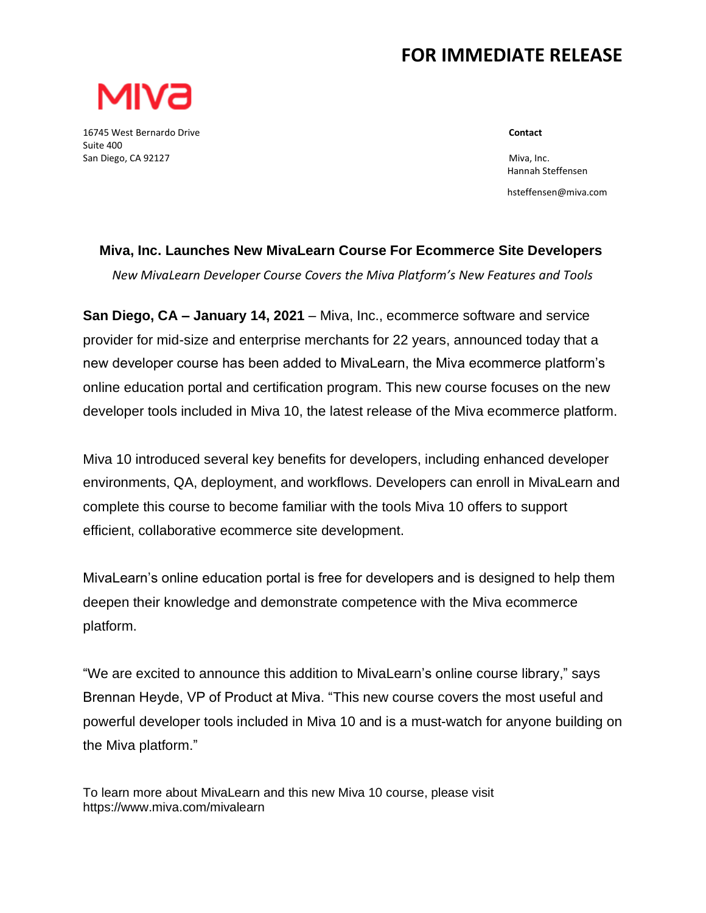## **FOR IMMEDIATE RELEASE**



16745 West Bernardo Drive **Contact** Suite 400 and the state of the state of the state of the state of the state of the state of the state of the state of the state of the state of the state of the state of the state of the state of the state of the state of San Diego, CA 92127 Miva, Inc.

 Hannah Steffensen hsteffensen@miva.com

## **Miva, Inc. Launches New MivaLearn Course For Ecommerce Site Developers**

*New MivaLearn Developer Course Covers the Miva Platform's New Features and Tools*

**San Diego, CA – January 14, 2021** – Miva, Inc., ecommerce software and service provider for mid-size and enterprise merchants for 22 years, announced today that a new developer course has been added to MivaLearn, the Miva ecommerce platform's online education portal and certification program. This new course focuses on the new developer tools included in Miva 10, the latest release of the Miva ecommerce platform.

Miva 10 introduced several key benefits for developers, including enhanced developer environments, QA, deployment, and workflows. Developers can enroll in MivaLearn and complete this course to become familiar with the tools Miva 10 offers to support efficient, collaborative ecommerce site development.

MivaLearn's online education portal is free for developers and is designed to help them deepen their knowledge and demonstrate competence with the Miva ecommerce platform.

"We are excited to announce this addition to MivaLearn's online course library," says Brennan Heyde, VP of Product at Miva. "This new course covers the most useful and powerful developer tools included in Miva 10 and is a must-watch for anyone building on the Miva platform."

To learn more about MivaLearn and this new Miva 10 course, please visit https://www.miva.com/mivalearn